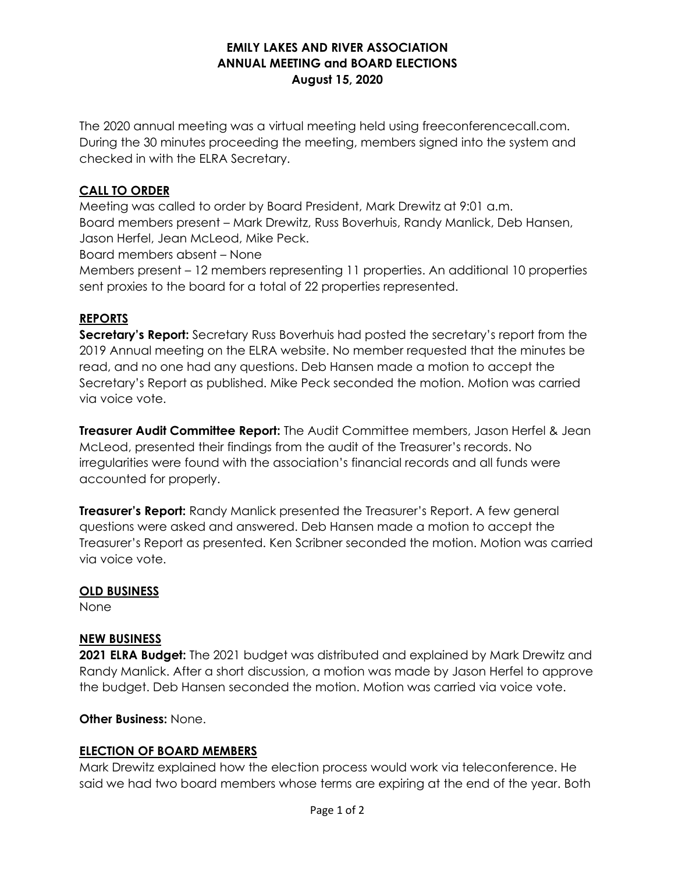## **EMILY LAKES AND RIVER ASSOCIATION ANNUAL MEETING and BOARD ELECTIONS August 15, 2020**

The 2020 annual meeting was a virtual meeting held using freeconferencecall.com. During the 30 minutes proceeding the meeting, members signed into the system and checked in with the ELRA Secretary.

## **CALL TO ORDER**

Meeting was called to order by Board President, Mark Drewitz at 9:01 a.m. Board members present – Mark Drewitz, Russ Boverhuis, Randy Manlick, Deb Hansen, Jason Herfel, Jean McLeod, Mike Peck.

Board members absent – None

Members present – 12 members representing 11 properties. An additional 10 properties sent proxies to the board for a total of 22 properties represented.

## **REPORTS**

**Secretary's Report:** Secretary Russ Boverhuis had posted the secretary's report from the 2019 Annual meeting on the ELRA website. No member requested that the minutes be read, and no one had any questions. Deb Hansen made a motion to accept the Secretary's Report as published. Mike Peck seconded the motion. Motion was carried via voice vote.

**Treasurer Audit Committee Report:** The Audit Committee members, Jason Herfel & Jean McLeod, presented their findings from the audit of the Treasurer's records. No irregularities were found with the association's financial records and all funds were accounted for properly.

**Treasurer's Report:** Randy Manlick presented the Treasurer's Report. A few general questions were asked and answered. Deb Hansen made a motion to accept the Treasurer's Report as presented. Ken Scribner seconded the motion. Motion was carried via voice vote.

#### **OLD BUSINESS**

None

#### **NEW BUSINESS**

**2021 ELRA Budget:** The 2021 budget was distributed and explained by Mark Drewitz and Randy Manlick. After a short discussion, a motion was made by Jason Herfel to approve the budget. Deb Hansen seconded the motion. Motion was carried via voice vote.

#### **Other Business:** None.

#### **ELECTION OF BOARD MEMBERS**

Mark Drewitz explained how the election process would work via teleconference. He said we had two board members whose terms are expiring at the end of the year. Both